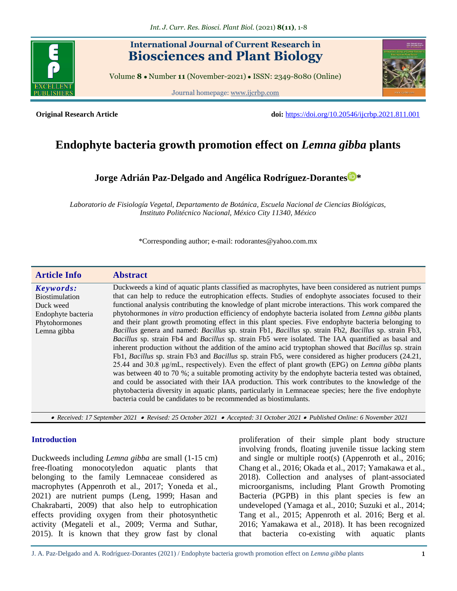

# **International Journal of Current Research in Biosciences and Plant Biology**

Volume **8** ● Number **11** (November-2021) ● ISSN: 2349-8080 (Online)

Journal homepage[: www.ijcrbp.com](http://www.ijcrbp.com/)



**Original Research Article doi:** <https://doi.org/10.20546/ijcrbp.2021.811.001>

# **Endophyte bacteria growth promotion effect on** *Lemna gibba* **plants**

**Jorge Adrián Paz-Delgado and [Angélica Rodríguez-Dorantes](https://orcid.org/0000-0003-0539-9076) \***

*Laboratorio de Fisiología Vegetal, Departamento de Botánica, Escuela Nacional de Ciencias Biológicas, Instituto Politécnico Nacional, México City 11340, México*

\*Corresponding author; e-mail: rodorantes@yahoo.com.mx

| <b>Article Info</b>                                                                                   | <b>Abstract</b>                                                                                                                                                                                                                                                                                                                                                                                                                                                                                                                                                                                                                                                                                                                                                                                                                                                                                                                                                                                                                                                                                                                                                                                                                                                                                                                                                                                                                                                         |
|-------------------------------------------------------------------------------------------------------|-------------------------------------------------------------------------------------------------------------------------------------------------------------------------------------------------------------------------------------------------------------------------------------------------------------------------------------------------------------------------------------------------------------------------------------------------------------------------------------------------------------------------------------------------------------------------------------------------------------------------------------------------------------------------------------------------------------------------------------------------------------------------------------------------------------------------------------------------------------------------------------------------------------------------------------------------------------------------------------------------------------------------------------------------------------------------------------------------------------------------------------------------------------------------------------------------------------------------------------------------------------------------------------------------------------------------------------------------------------------------------------------------------------------------------------------------------------------------|
| Keywords:<br><b>Biostimulation</b><br>Duck weed<br>Endophyte bacteria<br>Phytohormones<br>Lemna gibba | Duckweeds a kind of aquatic plants classified as macrophytes, have been considered as nutrient pumps<br>that can help to reduce the eutrophication effects. Studies of endophyte associates focused to their<br>functional analysis contributing the knowledge of plant microbe interactions. This work compared the<br>phytohormones in vitro production efficiency of endophyte bacteria isolated from Lemna gibba plants<br>and their plant growth promoting effect in this plant species. Five endophyte bacteria belonging to<br>Bacillus genera and named: Bacillus sp. strain Fb1, Bacillus sp. strain Fb2, Bacillus sp. strain Fb3,<br>Bacillus sp. strain Fb4 and Bacillus sp. strain Fb5 were isolated. The IAA quantified as basal and<br>inherent production without the addition of the amino acid tryptophan showed that Bacillus sp. strain<br>Fb1, Bacillus sp. strain Fb3 and Bacillus sp. strain Fb5, were considered as higher producers (24.21,<br>25.44 and 30.8 µg/mL, respectively). Even the effect of plant growth (EPG) on <i>Lemna gibba</i> plants<br>was between 40 to 70 %; a suitable promoting activity by the endophyte bacteria tested was obtained,<br>and could be associated with their IAA production. This work contributes to the knowledge of the<br>phytobacteria diversity in aquatic plants, particularly in Lemnaceae species; here the five endophyte<br>bacteria could be candidates to be recommended as biostimulants. |

 *Received: 17 September 2021 Revised: 25 October 2021 Accepted: 31 October 2021 Published Online: 6 November 2021*

#### **Introduction**

Duckweeds including *Lemna gibba* are small (1-15 cm) free-floating monocotyledon aquatic plants that belonging to the family Lemnaceae considered as macrophytes (Appenroth et al., 2017; Yoneda et al., 2021) are nutrient pumps (Leng, 1999; Hasan and Chakrabarti, 2009) that also help to eutrophication effects providing oxygen from their photosynthetic activity (Megateli et al., 2009; Verma and Suthar, 2015). It is known that they grow fast by clonal proliferation of their simple plant body structure involving fronds, floating juvenile tissue lacking stem and single or multiple root(s) (Appenroth et al., 2016; Chang et al., 2016; Okada et al., 2017; Yamakawa et al., 2018). Collection and analyses of plant-associated microorganisms, including Plant Growth Promoting Bacteria (PGPB) in this plant species is few an undeveloped (Yamaga et al., 2010; Suzuki et al., 2014; Tang et al., 2015; Appenroth et al. 2016; Berg et al. 2016; Yamakawa et al., 2018). It has been recognized that bacteria co-existing with aquatic plants

J. A. Paz-Delgado and A. Rodríguez-Dorantes (2021) / Endophyte bacteria growth promotion effect on *Lemna gibba* plants 1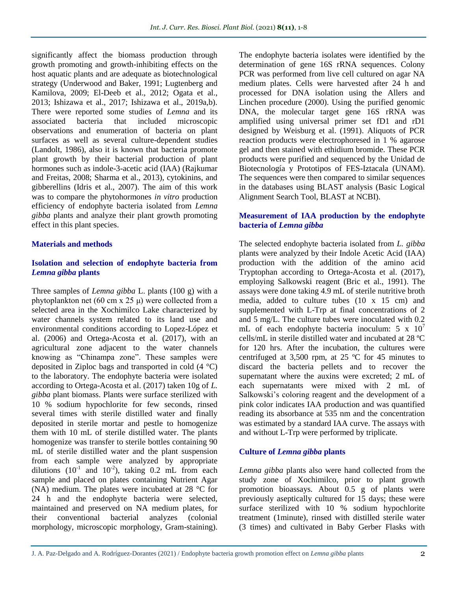significantly affect the biomass production through growth promoting and growth-inhibiting effects on the host aquatic plants and are adequate as biotechnological strategy (Underwood and Baker, 1991; Lugtenberg and Kamilova, 2009; El-Deeb et al., 2012; Ogata et al., 2013; Ishizawa et al., 2017; Ishizawa et al., 2019a,b). There were reported some studies of *Lemna* and its associated bacteria that included microscopic observations and enumeration of bacteria on plant surfaces as well as several culture-dependent studies (Landolt, 1986), also it is known that bacteria promote plant growth by their bacterial production of plant hormones such as indole-3-acetic acid (IAA) (Rajkumar and Freitas, 2008; Sharma et al., 2013), cytokinins, and gibberellins (Idris et al., 2007). The aim of this work was to compare the phytohormones *in vitro* production efficiency of endophyte bacteria isolated from *Lemna gibba* plants and analyze their plant growth promoting effect in this plant species.

# **Materials and methods**

#### **Isolation and selection of endophyte bacteria from**  *Lemna gibba* **plants**

Three samples of *Lemna gibba* L. plants (100 g) with a phytoplankton net (60 cm x 25 μ) were collected from a selected area in the Xochimilco Lake characterized by water channels system related to its land use and environmental conditions according to Lopez-López et al. (2006) and Ortega-Acosta et al. (2017), with an agricultural zone adjacent to the water channels knowing as "Chinampa zone". These samples were deposited in Ziploc bags and transported in cold (4 °C) to the laboratory. The endophyte bacteria were isolated according to Ortega-Acosta et al. (2017) taken 10g of *L. gibba* plant biomass. Plants were surface sterilized with 10 % sodium hypochlorite for few seconds, rinsed several times with sterile distilled water and finally deposited in sterile mortar and pestle to homogenize them with 10 mL of sterile distilled water. The plants homogenize was transfer to sterile bottles containing 90 mL of sterile distilled water and the plant suspension from each sample were analyzed by appropriate dilutions  $(10^{-1}$  and  $10^{-2})$ , taking 0.2 mL from each sample and placed on plates containing Nutrient Agar (NA) medium. The plates were incubated at 28 °C for 24 h and the endophyte bacteria were selected, maintained and preserved on NA medium plates, for their conventional bacterial analyzes (colonial morphology, microscopic morphology, Gram-staining).

The endophyte bacteria isolates were identified by the determination of gene 16S rRNA sequences. Colony PCR was performed from live cell cultured on agar NA medium plates. Cells were harvested after 24 h and processed for DNA isolation using the Allers and Linchen procedure (2000). Using the purified genomic DNA, the molecular target gene 16S rRNA was amplified using universal primer set fD1 and rD1 designed by Weisburg et al. (1991). Aliquots of PCR reaction products were electrophoresed in 1 % agarose gel and then stained with ethidium bromide. These PCR products were purified and sequenced by the Unidad de Biotecnología y Prototipos of FES-Iztacala (UNAM). The sequences were then compared to similar sequences in the databases using BLAST analysis (Basic Logical Alignment Search Tool, BLAST at NCBI).

# **Measurement of IAA production by the endophyte bacteria of** *Lemna gibba*

The selected endophyte bacteria isolated from *L. gibba*  plants were analyzed by their Indole Acetic Acid (IAA) production with the addition of the amino acid Tryptophan according to Ortega-Acosta et al. (2017), employing Salkowski reagent (Bric et al., 1991). The assays were done taking 4.9 mL of sterile nutritive broth media, added to culture tubes (10 x 15 cm) and supplemented with L-Trp at final concentrations of 2 and 5 mg/L. The culture tubes were inoculated with 0.2 mL of each endophyte bacteria inoculum:  $5 \times 10^7$ cells/mL in sterile distilled water and incubated at 28 ºC for 120 hrs. After the incubation, the cultures were centrifuged at 3,500 rpm, at 25 ºC for 45 minutes to discard the bacteria pellets and to recover the supernatant where the auxins were excreted; 2 mL of each supernatants were mixed with 2 mL of Salkowski's coloring reagent and the development of a pink color indicates IAA production and was quantified reading its absorbance at 535 nm and the concentration was estimated by a standard IAA curve. The assays with and without L-Trp were performed by triplicate.

# **Culture of** *Lemna gibba* **plants**

*Lemna gibba* plants also were hand collected from the study zone of Xochimilco, prior to plant growth promotion bioassays. About 0.5 g of plants were previously aseptically cultured for 15 days; these were surface sterilized with 10 % sodium hypochlorite treatment (1minute), rinsed with distilled sterile water (3 times) and cultivated in Baby Gerber Flasks with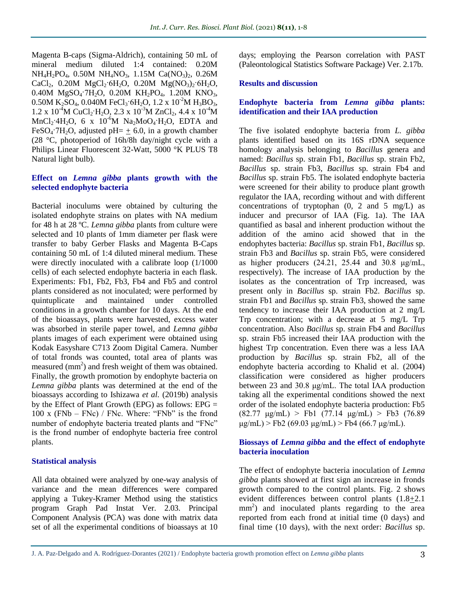Magenta B-caps (Sigma-Aldrich), containing 50 mL of mineral medium diluted 1:4 contained: 0.20M NH<sub>4</sub>H<sub>2</sub>PO<sub>4</sub>, 0.50M NH<sub>4</sub>NO<sub>3</sub>, 1.15M Ca(NO<sub>3</sub>)<sub>2</sub>, 0.26M  $CaCl<sub>2</sub>$ , 0.20M  $MgCl<sub>2</sub>·6H<sub>2</sub>O$ , 0.20M  $Mg(NO<sub>3</sub>)<sub>2</sub>·6H<sub>2</sub>O$ , 0.40M MgSO<sub>4</sub>·7H<sub>2</sub>O, 0.20M KH<sub>2</sub>PO<sub>4</sub>, 1.20M KNO<sub>3</sub>, 0.50M K<sub>2</sub>SO<sub>4</sub>, 0.040M FeCl<sub>3</sub>·6H<sub>2</sub>O, 1.2 x 10<sup>-2</sup>M H<sub>3</sub>BO<sub>3</sub>,  $1.2 \times 10^{-4}$ M CuCl<sub>2</sub>·H<sub>2</sub>O,  $2.3 \times 10^{-3}$ M ZnCl<sub>2</sub>,  $4.4 \times 10^{-4}$ M  $MnCl<sub>2</sub>·4H<sub>2</sub>O$ , 6 x 10<sup>-6</sup>M Na<sub>2</sub>MoO<sub>4</sub>·H<sub>2</sub>O, EDTA and FeSO<sub>4</sub>·7H<sub>2</sub>O, adjusted pH=  $\pm$  6.0, in a growth chamber (28 °C, photoperiod of 16h/8h day/night cycle with a Philips Linear Fluorescent 32-Watt, 5000 °K PLUS T8 Natural light bulb).

### **Effect on** *Lemna gibba* **plants growth with the selected endophyte bacteria**

Bacterial inoculums were obtained by culturing the isolated endophyte strains on plates with NA medium for 48 h at 28 ºC. *Lemna gibba* plants from culture were selected and 10 plants of 1mm diameter per flask were transfer to baby Gerber Flasks and Magenta B-Caps containing 50 mL of 1:4 diluted mineral medium. These were directly inoculated with a calibrate loop (1/1000 cells) of each selected endophyte bacteria in each flask. Experiments: Fb1, Fb2, Fb3, Fb4 and Fb5 and control plants considered as not inoculated; were performed by quintuplicate and maintained under controlled conditions in a growth chamber for 10 days. At the end of the bioassays, plants were harvested, excess water was absorbed in sterile paper towel, and *Lemna gibba* plants images of each experiment were obtained using Kodak Easyshare C713 Zoom Digital Camera. Number of total fronds was counted, total area of plants was measured  $(mm<sup>2</sup>)$  and fresh weight of them was obtained. Finally, the growth promotion by endophyte bacteria on *Lemna gibba* plants was determined at the end of the bioassays according to Ishizawa *et al.* (2019b) analysis by the Effect of Plant Growth (EPG) as follows: EPG =  $100 \times (FNb - FNc)$  / FNc. Where: "FNb" is the frond number of endophyte bacteria treated plants and "FNc" is the frond number of endophyte bacteria free control plants.

#### **Statistical analysis**

All data obtained were analyzed by one-way analysis of variance and the mean differences were compared applying a Tukey-Kramer Method using the statistics program Graph Pad Instat Ver. 2.03. Principal Component Analysis (PCA) was done with matrix data set of all the experimental conditions of bioassays at 10

days; employing the Pearson correlation with PAST (Paleontological Statistics Software Package) Ver. 2.17b.

#### **Results and discussion**

# **Endophyte bacteria from** *Lemna gibba* **plants: identification and their IAA production**

The five isolated endophyte bacteria from *L. gibba*  plants identified based on its 16S rDNA sequence homology analysis belonging to *Bacillus* genera and named: *Bacillus* sp. strain Fb1, *Bacillus* sp. strain Fb2, *Bacillus* sp. strain Fb3, *Bacillus* sp. strain Fb4 and *Bacillus* sp. strain Fb5. The isolated endophyte bacteria were screened for their ability to produce plant growth regulator the IAA, recording without and with different concentrations of tryptophan  $(0, 2 \text{ and } 5 \text{ mg/L})$  as inducer and precursor of IAA (Fig. 1a). The IAA quantified as basal and inherent production without the addition of the amino acid showed that in the endophytes bacteria: *Bacillus* sp. strain Fb1, *Bacillus* sp. strain Fb3 and *Bacillus* sp. strain Fb5, were considered as higher producers  $(24.21, 25.44$  and  $30.8 \text{ µg/mL}$ , respectively). The increase of IAA production by the isolates as the concentration of Trp increased, was present only in *Bacillus* sp. strain Fb2. *Bacillus* sp. strain Fb1 and *Bacillus* sp. strain Fb3, showed the same tendency to increase their IAA production at 2 mg/L Trp concentration; with a decrease at 5 mg/L Trp concentration. Also *Bacillus* sp. strain Fb4 and *Bacillus* sp. strain Fb5 increased their IAA production with the highest Trp concentration. Even there was a less IAA production by *Bacillus* sp. strain Fb2, all of the endophyte bacteria according to Khalid et al. (2004) classification were considered as higher producers between 23 and 30.8 μg/mL. The total IAA production taking all the experimental conditions showed the next order of the isolated endophyte bacteria production: Fb5  $(82.77 \text{ µg/mL}) >$  Fb1  $(77.14 \text{ µg/mL}) >$  Fb3  $(76.89$  $\mu$ g/mL) > Fb2 (69.03  $\mu$ g/mL) > Fb4 (66.7  $\mu$ g/mL).

# **Biossays of** *Lemna gibba* **and the effect of endophyte bacteria inoculation**

The effect of endophyte bacteria inoculation of *Lemna gibba* plants showed at first sign an increase in fronds growth compared to the control plants. Fig. 2 shows evident differences between control plants (1.8+2.1  $mm<sup>2</sup>$ ) and inoculated plants regarding to the area reported from each frond at initial time (0 days) and final time (10 days), with the next order: *Bacillus* sp.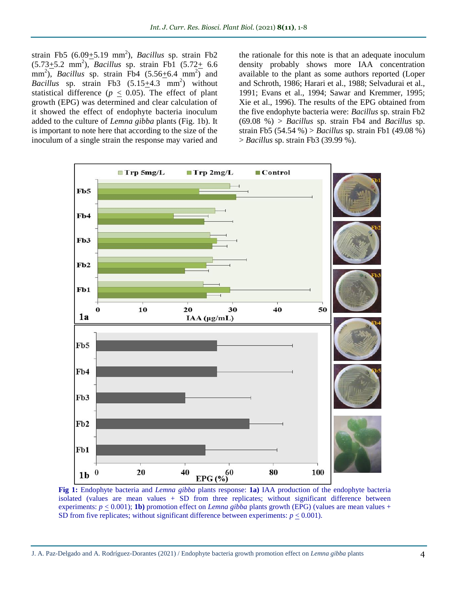strain Fb5 (6.09 + 5.19 mm<sup>2</sup>), *Bacillus* sp. strain Fb2  $(5.73 \pm 5.2 \text{ mm}^2)$ , *Bacillus* sp. strain Fb1  $(5.72 \pm 6.6 \text{ mm}^2)$ mm<sup>2</sup>), *Bacillus* sp. strain  $\overline{F}b4$  (5.56 $\pm$ 6.4 mm<sup>2</sup>) and *Bacillus* sp. strain Fb3  $(5.15 \pm 4.3 \text{ mm}^2)$  without statistical difference ( $p \leq 0.05$ ). The effect of plant growth (EPG) was determined and clear calculation of it showed the effect of endophyte bacteria inoculum added to the culture of *Lemna gibba* plants (Fig. 1b). It is important to note here that according to the size of the inoculum of a single strain the response may varied and

the rationale for this note is that an adequate inoculum density probably shows more IAA concentration available to the plant as some authors reported (Loper and Schroth, 1986; Harari et al., 1988; Selvadurai et al., 1991; Evans et al., 1994; Sawar and Kremmer, 1995; Xie et al., 1996). The results of the EPG obtained from the five endophyte bacteria were: *Bacillus* sp. strain Fb2 (69.08 %) > *Bacillus* sp. strain Fb4 and *Bacillus* sp. strain Fb5 (54.54 %) > *Bacillus* sp. strain Fb1 (49.08 %) > *Bacillus* sp. strain Fb3 (39.99 %).



**Fig 1:** Endophyte bacteria and *Lemna gibba* plants response: **1a)** IAA production of the endophyte bacteria isolated (values are mean values + SD from three replicates; without significant difference between experiments:  $p \le 0.001$ ; **1b**) promotion effect on *Lemna gibba* plants growth (EPG) (values are mean values + SD from five replicates; without significant difference between experiments:  $p \leq 0.001$ ).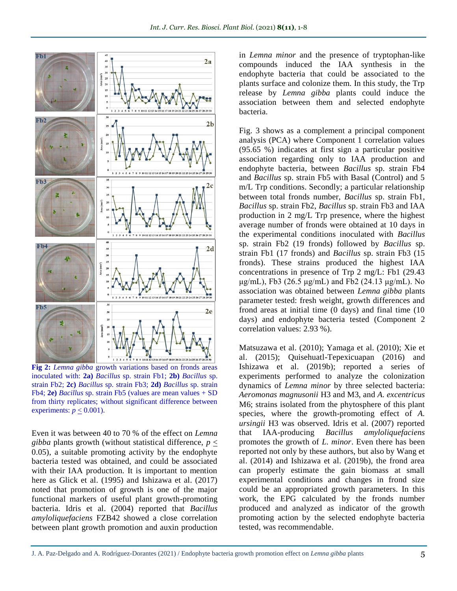

**Fig 2:** *Lemna gibba* growth variations based on fronds areas inoculated with: **2a)** *Bacillus* sp. strain Fb1; **2b)** *Bacillus* sp. strain Fb2; **2c)** *Bacillus* sp. strain Fb3; **2d)** *Bacillus* sp. strain Fb4; **2e)** *Bacillus* sp. strain Fb5 (values are mean values + SD from thirty replicates; without significant difference between experiments:  $p \leq 0.001$ ).

Even it was between 40 to 70 % of the effect on *Lemna gibba* plants growth (without statistical difference, *p* < 0.05), a suitable promoting activity by the endophyte bacteria tested was obtained, and could be associated with their IAA production. It is important to mention here as Glick et al. (1995) and Ishizawa et al. (2017) noted that promotion of growth is one of the major functional markers of useful plant growth-promoting bacteria. Idris et al. (2004) reported that *Bacillus amyloliquefaciens* FZB42 showed a close correlation between plant growth promotion and auxin production

in *Lemna minor* and the presence of tryptophan-like compounds induced the IAA synthesis in the endophyte bacteria that could be associated to the plants surface and colonize them. In this study, the Trp release by *Lemna gibba* plants could induce the association between them and selected endophyte bacteria.

Fig. 3 shows as a complement a principal component analysis (PCA) where Component 1 correlation values (95.65 %) indicates at first sign a particular positive association regarding only to IAA production and endophyte bacteria, between *Bacillus* sp. strain Fb4 and *Bacillus* sp. strain Fb5 with Basal (Control) and 5 m/L Trp conditions. Secondly; a particular relationship between total fronds number, *Bacillus* sp. strain Fb1, *Bacillus* sp. strain Fb2, *Bacillus* sp. strain Fb3 and IAA production in 2 mg/L Trp presence, where the highest average number of fronds were obtained at 10 days in the experimental conditions inoculated with *Bacillus* sp. strain Fb2 (19 fronds) followed by *Bacillus* sp. strain Fb1 (17 fronds) and *Bacillus* sp. strain Fb3 (15 fronds). These strains produced the highest IAA concentrations in presence of Trp 2 mg/L: Fb1 (29.43 μg/mL), Fb3 (26.5 μg/mL) and Fb2 (24.13 μg/mL). No association was obtained between *Lemna gibba* plants parameter tested: fresh weight, growth differences and frond areas at initial time (0 days) and final time (10 days) and endophyte bacteria tested (Component 2 correlation values: 2.93 %).

Matsuzawa et al. (2010); Yamaga et al. (2010); Xie et al. (2015); Quisehuatl-Tepexicuapan (2016) and Ishizawa et al. (2019b); reported a series of experiments performed to analyze the colonization dynamics of *Lemna minor* by three selected bacteria: *Aeromonas magnusonii* H3 and M3, and *A. excentricus*  M6; strains isolated from the phytosphere of this plant species, where the growth-promoting effect of *A. ursingii* H3 was observed. Idris et al. (2007) reported that IAA-producing *Bacillus amyloliquefaciens*  promotes the growth of *L. minor*. Even there has been reported not only by these authors, but also by Wang et al. (2014) and Ishizawa et al. (2019b), the frond area can properly estimate the gain biomass at small experimental conditions and changes in frond size could be an appropriated growth parameters. In this work, the EPG calculated by the fronds number produced and analyzed as indicator of the growth promoting action by the selected endophyte bacteria tested, was recommendable.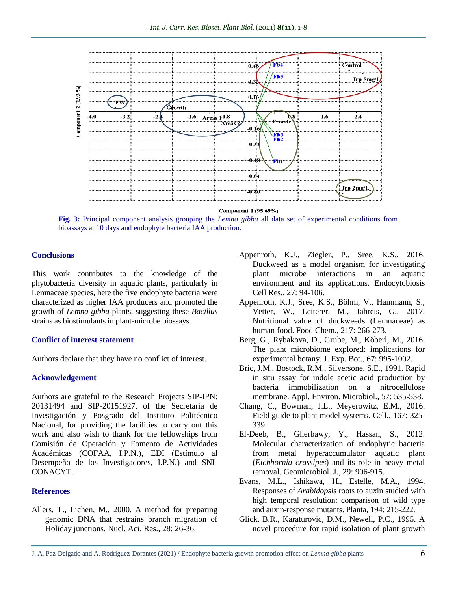

Component 1 (95.69%)

**Fig. 3:** Principal component analysis grouping the *Lemna gibba* all data set of experimental conditions from bioassays at 10 days and endophyte bacteria IAA production.

#### **Conclusions**

This work contributes to the knowledge of the phytobacteria diversity in aquatic plants, particularly in Lemnaceae species, here the five endophyte bacteria were characterized as higher IAA producers and promoted the growth of *Lemna gibba* plants, suggesting these *Bacillus* strains as biostimulants in plant-microbe biossays.

#### **Conflict of interest statement**

Authors declare that they have no conflict of interest.

#### **Acknowledgement**

Authors are grateful to the Research Projects SIP-IPN: 20131494 and SIP-20151927, of the Secretaría de Investigación y Posgrado del Instituto Politécnico Nacional, for providing the facilities to carry out this work and also wish to thank for the fellowships from Comisión de Operación y Fomento de Actividades Académicas (COFAA, I.P.N.), EDI (Estímulo al Desempeño de los Investigadores, I.P.N.) and SNI-CONACYT.

#### **References**

Allers, T., Lichen, M., 2000. A method for preparing genomic DNA that restrains branch migration of Holiday junctions. Nucl. Aci. Res., 28: 26-36.

- Appenroth, K.J., Ziegler, P., Sree, K.S., 2016. Duckweed as a model organism for investigating plant microbe interactions in an aquatic environment and its applications. Endocytobiosis Cell Res., 27: 94-106.
- Appenroth, K.J., Sree, K.S., Böhm, V., Hammann, S., Vetter, W., Leiterer, M., Jahreis, G., 2017. Nutritional value of duckweeds (Lemnaceae) as human food. Food Chem., 217: 266-273.
- Berg, G., Rybakova, D., Grube, M., Köberl, M., 2016. The plant microbiome explored: implications for experimental botany. J. Exp. Bot., 67: 995-1002.
- Bric, J.M., Bostock, R.M., Silversone, S.E., 1991. Rapid in situ assay for indole acetic acid production by bacteria immobilization on a nitrocellulose membrane. Appl. Environ. Microbiol., 57: 535-538.
- Chang, C., Bowman, J.L., Meyerowitz, E.M., 2016. Field guide to plant model systems. Cell., 167: 325- 339.
- El-Deeb, B., Gherbawy, Y., Hassan, S., 2012. Molecular characterization of endophytic bacteria from metal hyperaccumulator aquatic plant (*Eichhornia crassipes*) and its role in heavy metal removal. Geomicrobiol. J., 29: 906-915.
- Evans, M.L., Ishikawa, H., Estelle, M.A., 1994. Responses of *Arabidopsis* roots to auxin studied with high temporal resolution: comparison of wild type and auxin-response mutants. Planta, 194: 215-222.
- Glick, B.R., Karaturovic, D.M., Newell, P.C., 1995. A novel procedure for rapid isolation of plant growth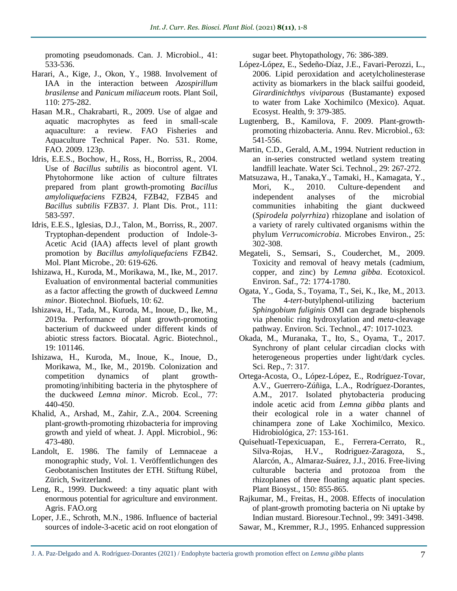promoting pseudomonads. Can. J. Microbiol., 41: 533-536.

- Harari, A., Kige, J., Okon, Y., 1988. Involvement of IAA in the interaction between *Azospirillum brasilense* and *Panicum miliaceum* roots. Plant Soil, 110: 275-282.
- Hasan M.R., Chakrabarti, R., 2009. Use of algae and aquatic macrophytes as feed in small-scale aquaculture: a review. FAO Fisheries and Aquaculture Technical Paper. No. 531. Rome, FAO. 2009. 123p.
- Idris, E.E.S., Bochow, H., Ross, H., Borriss, R., 2004. Use of *Bacillus subtilis* as biocontrol agent. VI. Phytohormone like action of culture filtrates prepared from plant growth-promoting *Bacillus amyloliquefaciens* FZB24, FZB42, FZB45 and *Bacillus subtilis* FZB37. J. Plant Dis. Prot., 111: 583-597.
- Idris, E.E.S., Iglesias, D.J., Talon, M., Borriss, R., 2007. Tryptophan-dependent production of Indole-3- Acetic Acid (IAA) affects level of plant growth promotion by *Bacillus amyloliquefaciens* FZB42. Mol. Plant Microbe., 20: 619-626.
- Ishizawa, H., Kuroda, M., Morikawa, M., Ike, M., 2017. Evaluation of environmental bacterial communities as a factor affecting the growth of duckweed *Lemna minor*. Biotechnol. Biofuels, 10: 62.
- Ishizawa, H., Tada, M., Kuroda, M., Inoue, D., Ike, M., 2019a. Performance of plant growth-promoting bacterium of duckweed under different kinds of abiotic stress factors. Biocatal. Agric. Biotechnol., 19: 101146.
- Ishizawa, H., Kuroda, M., Inoue, K., Inoue, D., Morikawa, M., Ike, M., 2019b. Colonization and competition dynamics of plant growthpromoting/inhibiting bacteria in the phytosphere of the duckweed *Lemna minor*. Microb. Ecol., 77: 440-450.
- Khalid, A., Arshad, M., Zahir, Z.A., 2004. Screening plant-growth-promoting rhizobacteria for improving growth and yield of wheat. J. Appl. Microbiol., 96: 473-480.
- Landolt, E. 1986. The family of Lemnaceae a monographic study, Vol. 1. Veröffentlichungen des Geobotanischen Institutes der ETH. Stiftung Rübel, Zürich, Switzerland.
- Leng, R., 1999. Duckweed: a tiny aquatic plant with enormous potential for agriculture and environment. Agris. FAO.org
- Loper, J.E., Schroth, M.N., 1986. Influence of bacterial sources of indole-3-acetic acid on root elongation of

sugar beet. Phytopathology, 76: 386-389.

- López-López, E., Sedeño-Díaz, J.E., Favari-Perozzi, L., 2006. Lipid peroxidation and acetylcholinesterase activity as biomarkers in the black sailfui goodeid, *Girardinichthys viviparous* (Bustamante) exposed to water from Lake Xochimilco (Mexico). Aquat. Ecosyst. Health, 9: 379-385.
- Lugtenberg, B., Kamilova, F. 2009. Plant-growthpromoting rhizobacteria. Annu. Rev. Microbiol., 63: 541-556.
- Martin, C.D., Gerald, A.M., 1994. Nutrient reduction in an in-series constructed wetland system treating landfill leachate. Water Sci. Technol., 29: 267-272.
- Matsuzawa, H., Tanaka,Y., Tamaki, H., Kamagata, Y., Mori, K., 2010. Culture-dependent and independent analyses of the microbial communities inhabiting the giant duckweed (*Spirodela polyrrhiza*) rhizoplane and isolation of a variety of rarely cultivated organisms within the phylum *Verrucomicrobia*. Microbes Environ., 25: 302-308.
- Megateli, S., Semsari, S., Couderchet, M., 2009. Toxicity and removal of heavy metals (cadmium, copper, and zinc) by *Lemna gibba*. Ecotoxicol. Environ. Saf., 72: 1774-1780.
- Ogata, Y., Goda, S., Toyama, T., Sei, K., Ike, M., 2013. The 4-*tert*-butylphenol-utilizing bacterium *Sphingobium fuliginis* OMI can degrade bisphenols via phenolic ring hydroxylation and *meta*-cleavage pathway. Environ. Sci. Technol., 47: 1017-1023.
- Okada, M., Muranaka, T., Ito, S., Oyama, T., 2017. Synchrony of plant celular circadian clocks with heterogeneous properties under light/dark cycles. Sci. Rep., 7: 317.
- Ortega-Acosta, O., López-López, E., Rodríguez-Tovar, A.V., Guerrero-Zúñiga, L.A., Rodríguez-Dorantes, A.M., 2017. Isolated phytobacteria producing indole acetic acid from *Lemna gibba* plants and their ecological role in a water channel of chinampera zone of Lake Xochimilco, Mexico. Hidrobiológica, 27: 153-161.
- Quisehuatl-Tepexicuapan, E., Ferrera-Cerrato, R., Silva-Rojas, H.V., Rodriguez-Zaragoza, S., Alarcón, A., Almaraz-Suárez, J.J., 2016. Free-living culturable bacteria and protozoa from the rhizoplanes of three floating aquatic plant species. Plant Biosyst., 150: 855-865.
- Rajkumar, M., Freitas, H., 2008. Effects of inoculation of plant-growth promoting bacteria on Ni uptake by Indian mustard. Bioresour.Technol., 99: 3491-3498.
- Sawar, M., Kremmer, R.J., 1995. Enhanced suppression